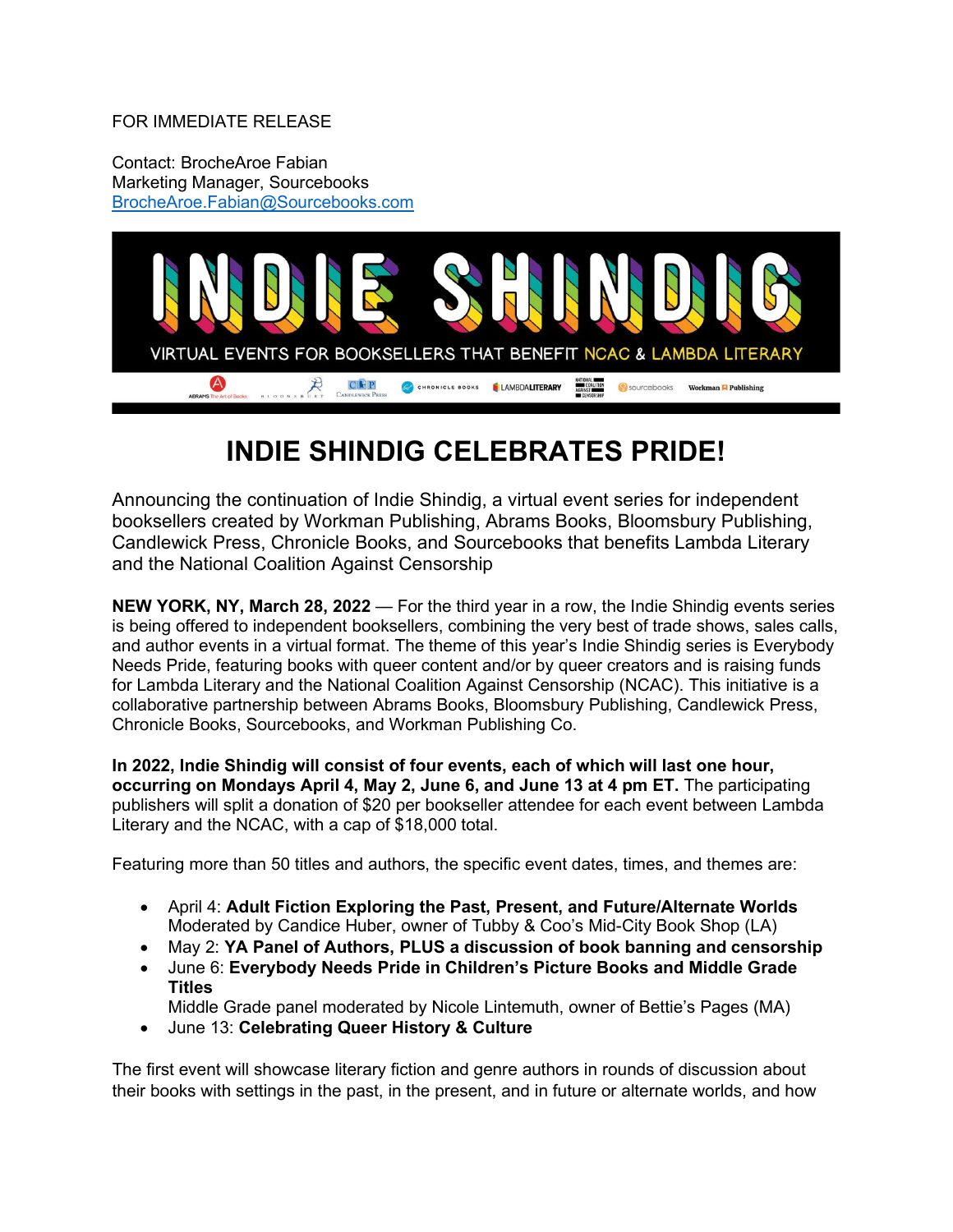#### FOR IMMEDIATE RELEASE

Contact: BrocheAroe Fabian Marketing Manager, Sourcebooks [BrocheAroe.Fabian@Sourcebooks.com](mailto:BrocheAroe.Fabian@Sourcebooks.com)



# **INDIE SHINDIG CELEBRATES PRIDE!**

Announcing the continuation of Indie Shindig, a virtual event series for independent booksellers created by Workman Publishing, Abrams Books, Bloomsbury Publishing, Candlewick Press, Chronicle Books, and Sourcebooks that benefits Lambda Literary and the National Coalition Against Censorship

**NEW YORK, NY, March 28, 2022** — For the third year in a row, the Indie Shindig events series is being offered to independent booksellers, combining the very best of trade shows, sales calls, and author events in a virtual format. The theme of this year's Indie Shindig series is Everybody Needs Pride, featuring books with queer content and/or by queer creators and is raising funds for Lambda Literary and the National Coalition Against Censorship (NCAC). This initiative is a collaborative partnership between Abrams Books, Bloomsbury Publishing, Candlewick Press, Chronicle Books, Sourcebooks, and Workman Publishing Co.

**In 2022, Indie Shindig will consist of four events, each of which will last one hour, occurring on Mondays April 4, May 2, June 6, and June 13 at 4 pm ET.** The participating publishers will split a donation of \$20 per bookseller attendee for each event between Lambda Literary and the NCAC, with a cap of \$18,000 total.

Featuring more than 50 titles and authors, the specific event dates, times, and themes are:

- April 4: **Adult Fiction Exploring the Past, Present, and Future/Alternate Worlds** Moderated by Candice Huber, owner of Tubby & Coo's Mid-City Book Shop (LA)
- May 2: **YA Panel of Authors, PLUS a discussion of book banning and censorship**
- June 6: **Everybody Needs Pride in Children's Picture Books and Middle Grade Titles**

Middle Grade panel moderated by Nicole Lintemuth, owner of Bettie's Pages (MA)

• June 13: **Celebrating Queer History & Culture**

The first event will showcase literary fiction and genre authors in rounds of discussion about their books with settings in the past, in the present, and in future or alternate worlds, and how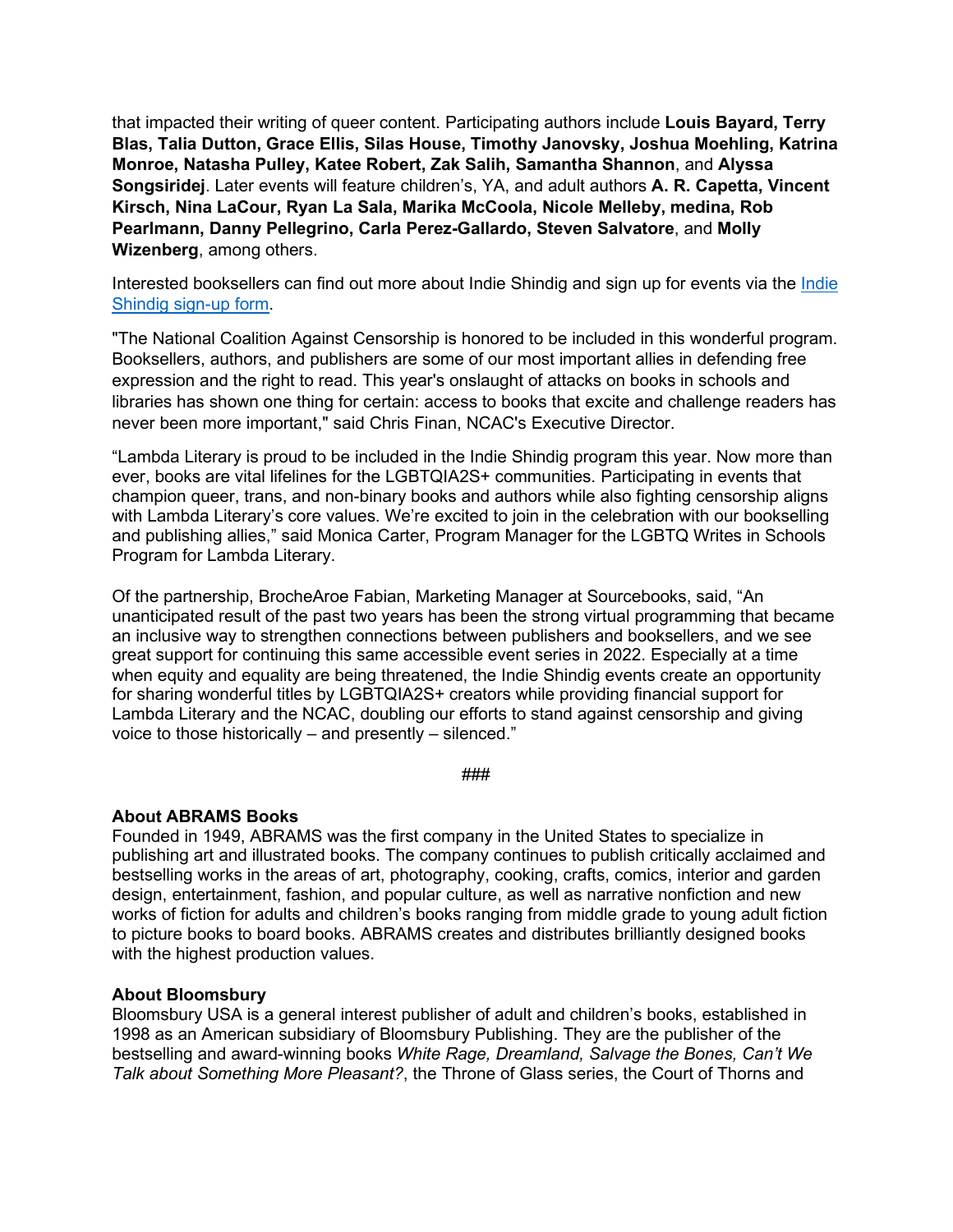that impacted their writing of queer content. Participating authors include **Louis Bayard, Terry Blas, Talia Dutton, Grace Ellis, Silas House, Timothy Janovsky, Joshua Moehling, Katrina Monroe, Natasha Pulley, Katee Robert, Zak Salih, Samantha Shannon**, and **Alyssa Songsiridej**. Later events will feature children's, YA, and adult authors **A. R. Capetta, Vincent Kirsch, Nina LaCour, Ryan La Sala, Marika McCoola, Nicole Melleby, medina, Rob Pearlmann, Danny Pellegrino, Carla Perez-Gallardo, Steven Salvatore**, and **Molly Wizenberg**, among others.

Interested booksellers can find out more about Indie Shindig and sign up for events via the [Indie](https://forms.gle/jRzxt2jjvBdujTzBA) [Shindig sign-up form.](https://forms.gle/jRzxt2jjvBdujTzBA)

"The National Coalition Against Censorship is honored to be included in this wonderful program. Booksellers, authors, and publishers are some of our most important allies in defending free expression and the right to read. This year's onslaught of attacks on books in schools and libraries has shown one thing for certain: access to books that excite and challenge readers has never been more important," said Chris Finan, NCAC's Executive Director.

"Lambda Literary is proud to be included in the Indie Shindig program this year. Now more than ever, books are vital lifelines for the LGBTQIA2S+ communities. Participating in events that champion queer, trans, and non-binary books and authors while also fighting censorship aligns with Lambda Literary's core values. We're excited to join in the celebration with our bookselling and publishing allies," said Monica Carter, Program Manager for the LGBTQ Writes in Schools Program for Lambda Literary.

Of the partnership, BrocheAroe Fabian, Marketing Manager at Sourcebooks, said, "An unanticipated result of the past two years has been the strong virtual programming that became an inclusive way to strengthen connections between publishers and booksellers, and we see great support for continuing this same accessible event series in 2022. Especially at a time when equity and equality are being threatened, the Indie Shindig events create an opportunity for sharing wonderful titles by LGBTQIA2S+ creators while providing financial support for Lambda Literary and the NCAC, doubling our efforts to stand against censorship and giving voice to those historically – and presently – silenced."

###

## **About ABRAMS Books**

Founded in 1949, ABRAMS was the first company in the United States to specialize in publishing art and illustrated books. The company continues to publish critically acclaimed and bestselling works in the areas of art, photography, cooking, crafts, comics, interior and garden design, entertainment, fashion, and popular culture, as well as narrative nonfiction and new works of fiction for adults and children's books ranging from middle grade to young adult fiction to picture books to board books. ABRAMS creates and distributes brilliantly designed books with the highest production values.

## **About Bloomsbury**

Bloomsbury USA is a general interest publisher of adult and children's books, established in 1998 as an American subsidiary of Bloomsbury Publishing. They are the publisher of the bestselling and award-winning books *White Rage, Dreamland, Salvage the Bones, Can't We Talk about Something More Pleasant?*, the Throne of Glass series, the Court of Thorns and